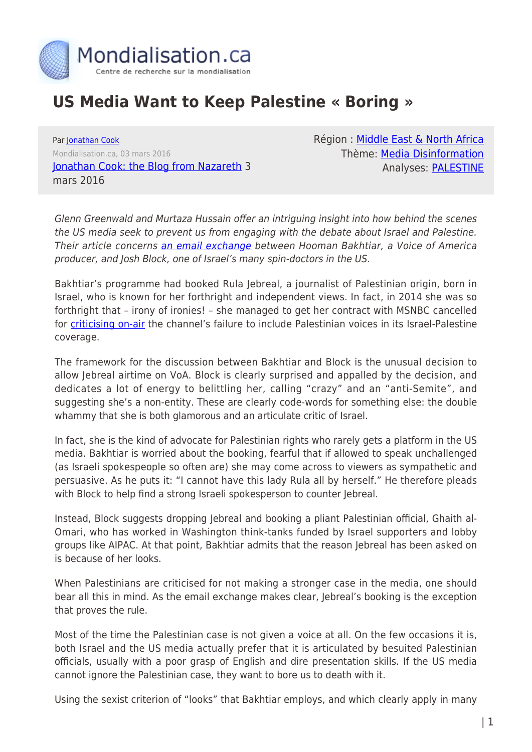

## **US Media Want to Keep Palestine « Boring »**

Par [Jonathan Cook](https://www.mondialisation.ca/author/jonathan-cook) Mondialisation.ca, 03 mars 2016 [Jonathan Cook: the Blog from Nazareth](http://www.jonathan-cook.net/blog/2016-03-03/us-media-want-to-keep-palestine-boring/) 3 mars 2016

Région : [Middle East & North Africa](https://www.mondialisation.ca/region/middle-east) Thème: [Media Disinformation](https://www.mondialisation.ca/theme/media-disinformation) Analyses: [PALESTINE](https://www.mondialisation.ca/indepthreport/palestine)

Glenn Greenwald and Murtaza Hussain offer an intriguing insight into how behind the scenes the US media seek to prevent us from engaging with the debate about Israel and Palestine. Their article concerns [an email exchange](https://theintercept.com/2016/03/02/demeaning-sexist-emails-about-rula-jebreal-between-ex-aipac-spokesman-josh-block-and-voa-producer/) between Hooman Bakhtiar, a Voice of America producer, and Josh Block, one of Israel's many spin-doctors in the US.

Bakhtiar's programme had booked Rula Jebreal, a journalist of Palestinian origin, born in Israel, who is known for her forthright and independent views. In fact, in 2014 she was so forthright that – irony of ironies! – she managed to get her contract with MSNBC cancelled for [criticising on-air](http://www.alternet.org/media/witch-hunt-fired-msnbc-contributor-speaks-out-networks-witch-hunt-and-suppression-israel) the channel's failure to include Palestinian voices in its Israel-Palestine coverage.

The framework for the discussion between Bakhtiar and Block is the unusual decision to allow Jebreal airtime on VoA. Block is clearly surprised and appalled by the decision, and dedicates a lot of energy to belittling her, calling "crazy" and an "anti-Semite", and suggesting she's a non-entity. These are clearly code-words for something else: the double whammy that she is both glamorous and an articulate critic of Israel.

In fact, she is the kind of advocate for Palestinian rights who rarely gets a platform in the US media. Bakhtiar is worried about the booking, fearful that if allowed to speak unchallenged (as Israeli spokespeople so often are) she may come across to viewers as sympathetic and persuasive. As he puts it: "I cannot have this lady Rula all by herself." He therefore pleads with Block to help find a strong Israeli spokesperson to counter Jebreal.

Instead, Block suggests dropping Jebreal and booking a pliant Palestinian official, Ghaith al-Omari, who has worked in Washington think-tanks funded by Israel supporters and lobby groups like AIPAC. At that point, Bakhtiar admits that the reason Jebreal has been asked on is because of her looks.

When Palestinians are criticised for not making a stronger case in the media, one should bear all this in mind. As the email exchange makes clear, Jebreal's booking is the exception that proves the rule.

Most of the time the Palestinian case is not given a voice at all. On the few occasions it is, both Israel and the US media actually prefer that it is articulated by besuited Palestinian officials, usually with a poor grasp of English and dire presentation skills. If the US media cannot ignore the Palestinian case, they want to bore us to death with it.

Using the sexist criterion of "looks" that Bakhtiar employs, and which clearly apply in many